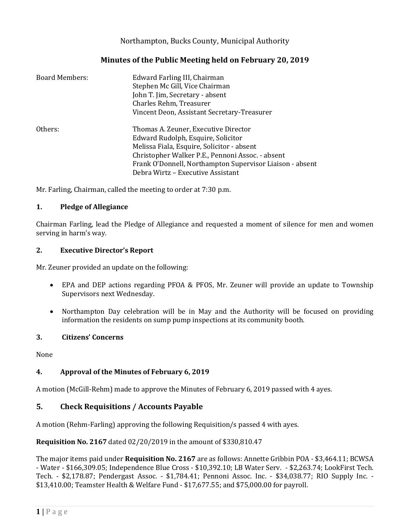# Northampton, Bucks County, Municipal Authority

## **Minutes of the Public Meeting held on February 20, 2019**

| <b>Board Members:</b> | Edward Farling III, Chairman<br>Stephen Mc Gill, Vice Chairman<br>John T. Jim, Secretary - absent<br>Charles Rehm, Treasurer<br>Vincent Deon, Assistant Secretary-Treasurer  |
|-----------------------|------------------------------------------------------------------------------------------------------------------------------------------------------------------------------|
| Others:               | Thomas A. Zeuner, Executive Director<br>Edward Rudolph, Esquire, Solicitor<br>Melissa Fiala, Esquire, Solicitor - absent<br>Christopher Walker P.E., Pennoni Assoc. - absent |
|                       | Frank O'Donnell, Northampton Supervisor Liaison - absent<br>Debra Wirtz - Executive Assistant                                                                                |

Mr. Farling, Chairman, called the meeting to order at 7:30 p.m.

#### **1. Pledge of Allegiance**

Chairman Farling, lead the Pledge of Allegiance and requested a moment of silence for men and women serving in harm's way.

#### **2. Executive Director's Report**

Mr. Zeuner provided an update on the following:

- EPA and DEP actions regarding PFOA & PFOS, Mr. Zeuner will provide an update to Township Supervisors next Wednesday.
- Northampton Day celebration will be in May and the Authority will be focused on providing information the residents on sump pump inspections at its community booth.

### **3. Citizens' Concerns**

None

### **4. Approval of the Minutes of February 6, 2019**

A motion (McGill-Rehm) made to approve the Minutes of February 6, 2019 passed with 4 ayes.

### **5. Check Requisitions / Accounts Payable**

A motion (Rehm-Farling) approving the following Requisition/s passed 4 with ayes.

**Requisition No. 2167** dated 02/20/2019 in the amount of \$330,810.47

The major items paid under **Requisition No. 2167** are as follows: Annette Gribbin POA - \$3,464.11; BCWSA - Water - \$166,309.05; Independence Blue Cross - \$10,392.10; LB Water Serv. - \$2,263.74; LookFirst Tech. Tech. - \$2,178.87; Pendergast Assoc. - \$1,784.41; Pennoni Assoc. Inc. - \$34,038.77; RIO Supply Inc. - \$13,410.00; Teamster Health & Welfare Fund - \$17,677.55; and \$75,000.00 for payroll.